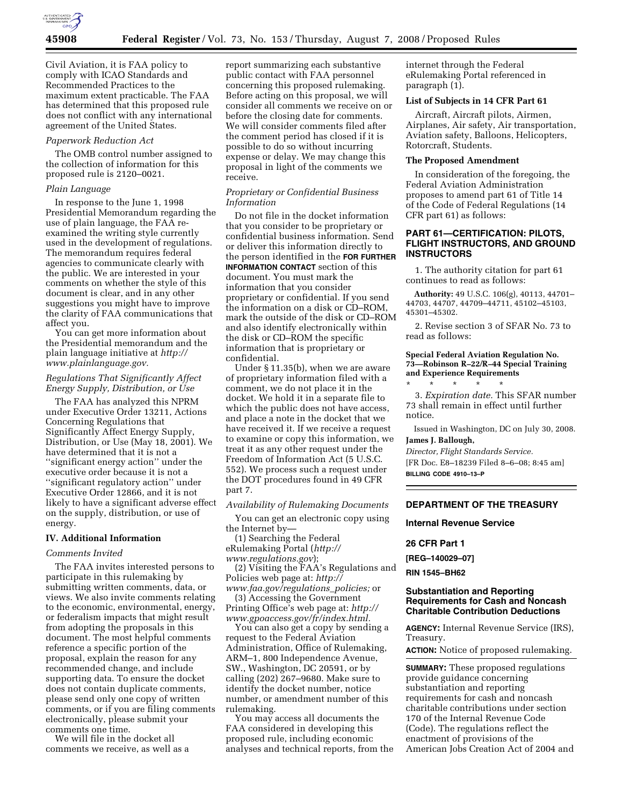

Civil Aviation, it is FAA policy to comply with ICAO Standards and Recommended Practices to the maximum extent practicable. The FAA has determined that this proposed rule does not conflict with any international agreement of the United States.

#### *Paperwork Reduction Act*

The OMB control number assigned to the collection of information for this proposed rule is 2120–0021.

#### *Plain Language*

In response to the June 1, 1998 Presidential Memorandum regarding the use of plain language, the FAA reexamined the writing style currently used in the development of regulations. The memorandum requires federal agencies to communicate clearly with the public. We are interested in your comments on whether the style of this document is clear, and in any other suggestions you might have to improve the clarity of FAA communications that affect you.

You can get more information about the Presidential memorandum and the plain language initiative at *http:// www.plainlanguage.gov.* 

### *Regulations That Significantly Affect Energy Supply, Distribution, or Use*

The FAA has analyzed this NPRM under Executive Order 13211, Actions Concerning Regulations that Significantly Affect Energy Supply, Distribution, or Use (May 18, 2001). We have determined that it is not a ''significant energy action'' under the executive order because it is not a ''significant regulatory action'' under Executive Order 12866, and it is not likely to have a significant adverse effect on the supply, distribution, or use of energy.

## **IV. Additional Information**

### *Comments Invited*

The FAA invites interested persons to participate in this rulemaking by submitting written comments, data, or views. We also invite comments relating to the economic, environmental, energy, or federalism impacts that might result from adopting the proposals in this document. The most helpful comments reference a specific portion of the proposal, explain the reason for any recommended change, and include supporting data. To ensure the docket does not contain duplicate comments, please send only one copy of written comments, or if you are filing comments electronically, please submit your comments one time.

We will file in the docket all comments we receive, as well as a report summarizing each substantive public contact with FAA personnel concerning this proposed rulemaking. Before acting on this proposal, we will consider all comments we receive on or before the closing date for comments. We will consider comments filed after the comment period has closed if it is possible to do so without incurring expense or delay. We may change this proposal in light of the comments we receive.

#### *Proprietary or Confidential Business Information*

Do not file in the docket information that you consider to be proprietary or confidential business information. Send or deliver this information directly to the person identified in the **FOR FURTHER INFORMATION CONTACT** section of this document. You must mark the information that you consider proprietary or confidential. If you send the information on a disk or CD–ROM, mark the outside of the disk or CD–ROM and also identify electronically within the disk or CD–ROM the specific information that is proprietary or confidential.

Under § 11.35(b), when we are aware of proprietary information filed with a comment, we do not place it in the docket. We hold it in a separate file to which the public does not have access, and place a note in the docket that we have received it. If we receive a request to examine or copy this information, we treat it as any other request under the Freedom of Information Act (5 U.S.C. 552). We process such a request under the DOT procedures found in 49 CFR part 7.

#### *Availability of Rulemaking Documents*

You can get an electronic copy using the Internet by—

(1) Searching the Federal eRulemaking Portal (*http:// www.regulations.gov*);

(2) Visiting the FAA's Regulations and Policies web page at: *http://* 

*www.faa.gov/regulations*\_*policies;* or (3) Accessing the Government

Printing Office's web page at: *http:// www.gpoaccess.gov/fr/index.html.* 

You can also get a copy by sending a request to the Federal Aviation Administration, Office of Rulemaking, ARM–1, 800 Independence Avenue, SW., Washington, DC 20591, or by calling (202) 267–9680. Make sure to identify the docket number, notice number, or amendment number of this rulemaking.

You may access all documents the FAA considered in developing this proposed rule, including economic analyses and technical reports, from the internet through the Federal eRulemaking Portal referenced in paragraph (1).

## **List of Subjects in 14 CFR Part 61**

Aircraft, Aircraft pilots, Airmen, Airplanes, Air safety, Air transportation, Aviation safety, Balloons, Helicopters, Rotorcraft, Students.

### **The Proposed Amendment**

In consideration of the foregoing, the Federal Aviation Administration proposes to amend part 61 of Title 14 of the Code of Federal Regulations (14 CFR part 61) as follows:

## **PART 61—CERTIFICATION: PILOTS, FLIGHT INSTRUCTORS, AND GROUND INSTRUCTORS**

1. The authority citation for part 61 continues to read as follows:

**Authority:** 49 U.S.C. 106(g), 40113, 44701– 44703, 44707, 44709–44711, 45102–45103, 45301–45302.

2. Revise section 3 of SFAR No. 73 to read as follows:

#### **Special Federal Aviation Regulation No. 73—Robinson R–22/R–44 Special Training and Experience Requirements**

\* \* \* \* \* 3. *Expiration date.* This SFAR number 73 shall remain in effect until further notice.

Issued in Washington, DC on July 30, 2008. **James J. Ballough,** 

## *Director, Flight Standards Service.*  [FR Doc. E8–18239 Filed 8–6–08; 8:45 am] **BILLING CODE 4910–13–P**

## **DEPARTMENT OF THE TREASURY**

### **Internal Revenue Service**

## **26 CFR Part 1**

**[REG–140029–07]** 

#### **RIN 1545–BH62**

#### **Substantiation and Reporting Requirements for Cash and Noncash Charitable Contribution Deductions**

**AGENCY:** Internal Revenue Service (IRS), Treasury.

**ACTION:** Notice of proposed rulemaking.

**SUMMARY:** These proposed regulations provide guidance concerning substantiation and reporting requirements for cash and noncash charitable contributions under section 170 of the Internal Revenue Code (Code). The regulations reflect the enactment of provisions of the American Jobs Creation Act of 2004 and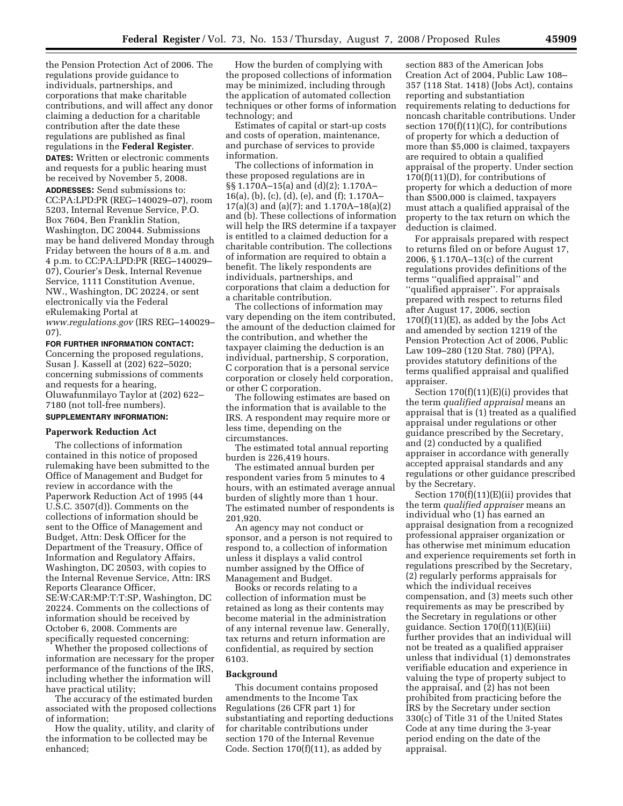the Pension Protection Act of 2006. The regulations provide guidance to individuals, partnerships, and corporations that make charitable contributions, and will affect any donor claiming a deduction for a charitable contribution after the date these regulations are published as final regulations in the **Federal Register**.

**DATES:** Written or electronic comments and requests for a public hearing must be received by November 5, 2008.

**ADDRESSES:** Send submissions to: CC:PA:LPD:PR (REG–140029–07), room 5203, Internal Revenue Service, P.O. Box 7604, Ben Franklin Station, Washington, DC 20044. Submissions may be hand delivered Monday through Friday between the hours of 8 a.m. and 4 p.m. to CC:PA:LPD:PR (REG–140029– 07), Courier's Desk, Internal Revenue Service, 1111 Constitution Avenue, NW., Washington, DC 20224, or sent electronically via the Federal eRulemaking Portal at *www.regulations.gov* (IRS REG–140029– 07).

#### **FOR FURTHER INFORMATION CONTACT:**

Concerning the proposed regulations, Susan J. Kassell at (202) 622–5020; concerning submissions of comments and requests for a hearing, Oluwafunmilayo Taylor at (202) 622– 7180 (not toll-free numbers).

# **SUPPLEMENTARY INFORMATION:**

## **Paperwork Reduction Act**

The collections of information contained in this notice of proposed rulemaking have been submitted to the Office of Management and Budget for review in accordance with the Paperwork Reduction Act of 1995 (44 U.S.C. 3507(d)). Comments on the collections of information should be sent to the Office of Management and Budget, Attn: Desk Officer for the Department of the Treasury, Office of Information and Regulatory Affairs, Washington, DC 20503, with copies to the Internal Revenue Service, Attn: IRS Reports Clearance Officer, SE:W:CAR:MP:T:T:SP, Washington, DC 20224. Comments on the collections of information should be received by October 6, 2008. Comments are specifically requested concerning:

Whether the proposed collections of information are necessary for the proper performance of the functions of the IRS, including whether the information will have practical utility;

The accuracy of the estimated burden associated with the proposed collections of information;

How the quality, utility, and clarity of the information to be collected may be enhanced;

How the burden of complying with the proposed collections of information may be minimized, including through the application of automated collection techniques or other forms of information technology; and

Estimates of capital or start-up costs and costs of operation, maintenance, and purchase of services to provide information.

The collections of information in these proposed regulations are in §§ 1.170A–15(a) and (d)(2); 1.170A– 16(a), (b), (c), (d), (e), and (f); 1.170A– 17(a)(3) and (a)(7); and 1.170A–18(a)(2) and (b). These collections of information will help the IRS determine if a taxpayer is entitled to a claimed deduction for a charitable contribution. The collections of information are required to obtain a benefit. The likely respondents are individuals, partnerships, and corporations that claim a deduction for a charitable contribution.

The collections of information may vary depending on the item contributed, the amount of the deduction claimed for the contribution, and whether the taxpayer claiming the deduction is an individual, partnership, S corporation, C corporation that is a personal service corporation or closely held corporation, or other C corporation.

The following estimates are based on the information that is available to the IRS. A respondent may require more or less time, depending on the circumstances.

The estimated total annual reporting burden is 226,419 hours.

The estimated annual burden per respondent varies from 5 minutes to 4 hours, with an estimated average annual burden of slightly more than 1 hour. The estimated number of respondents is 201,920.

An agency may not conduct or sponsor, and a person is not required to respond to, a collection of information unless it displays a valid control number assigned by the Office of Management and Budget.

Books or records relating to a collection of information must be retained as long as their contents may become material in the administration of any internal revenue law. Generally, tax returns and return information are confidential, as required by section 6103.

#### **Background**

This document contains proposed amendments to the Income Tax Regulations (26 CFR part 1) for substantiating and reporting deductions for charitable contributions under section 170 of the Internal Revenue Code. Section 170(f)(11), as added by

section 883 of the American Jobs Creation Act of 2004, Public Law 108– 357 (118 Stat. 1418) (Jobs Act), contains reporting and substantiation requirements relating to deductions for noncash charitable contributions. Under section 170(f)(11)(C), for contributions of property for which a deduction of more than \$5,000 is claimed, taxpayers are required to obtain a qualified appraisal of the property. Under section  $170(f)(11)(D)$ , for contributions of property for which a deduction of more than \$500,000 is claimed, taxpayers must attach a qualified appraisal of the property to the tax return on which the deduction is claimed.

For appraisals prepared with respect to returns filed on or before August 17, 2006, § 1.170A–13(c) of the current regulations provides definitions of the terms ''qualified appraisal'' and ''qualified appraiser''. For appraisals prepared with respect to returns filed after August 17, 2006, section  $170(f)(11)(E)$ , as added by the Jobs Act and amended by section 1219 of the Pension Protection Act of 2006, Public Law 109–280 (120 Stat. 780) (PPA), provides statutory definitions of the terms qualified appraisal and qualified appraiser.

Section  $170(f)(11)(E)(i)$  provides that the term *qualified appraisal* means an appraisal that is (1) treated as a qualified appraisal under regulations or other guidance prescribed by the Secretary, and (2) conducted by a qualified appraiser in accordance with generally accepted appraisal standards and any regulations or other guidance prescribed by the Secretary.

Section 170(f)(11)(E)(ii) provides that the term *qualified appraiser* means an individual who (1) has earned an appraisal designation from a recognized professional appraiser organization or has otherwise met minimum education and experience requirements set forth in regulations prescribed by the Secretary, (2) regularly performs appraisals for which the individual receives compensation, and (3) meets such other requirements as may be prescribed by the Secretary in regulations or other guidance. Section 170(f)(11)(E)(iii) further provides that an individual will not be treated as a qualified appraiser unless that individual (1) demonstrates verifiable education and experience in valuing the type of property subject to the appraisal, and (2) has not been prohibited from practicing before the IRS by the Secretary under section 330(c) of Title 31 of the United States Code at any time during the 3-year period ending on the date of the appraisal.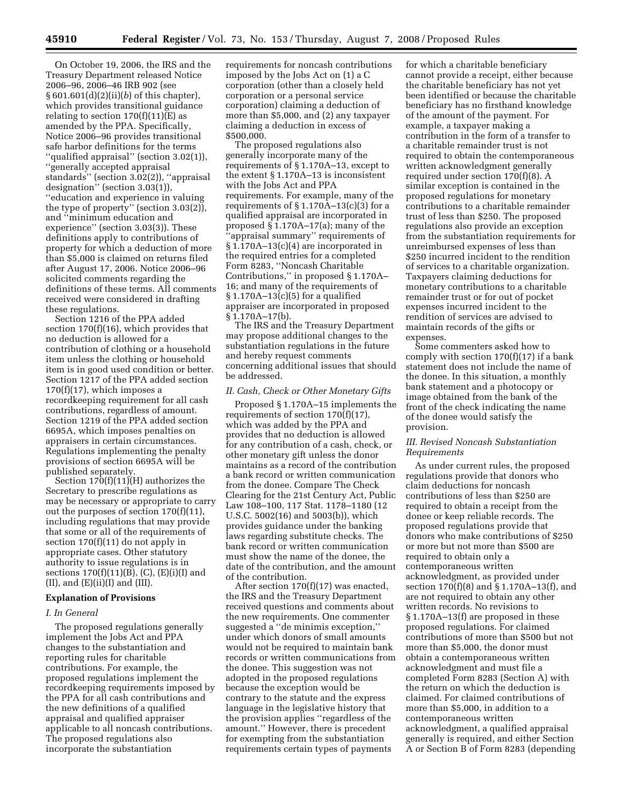On October 19, 2006, the IRS and the Treasury Department released Notice 2006–96, 2006–46 IRB 902 (see § 601.601(d)(2)(ii)(*b*) of this chapter), which provides transitional guidance relating to section  $170(f)(11)(E)$  as amended by the PPA. Specifically, Notice 2006–96 provides transitional safe harbor definitions for the terms ''qualified appraisal'' (section 3.02(1)), ''generally accepted appraisal standards'' (section 3.02(2)), ''appraisal designation'' (section 3.03(1)), ''education and experience in valuing the type of property'' (section 3.03(2)), and ''minimum education and experience'' (section 3.03(3)). These definitions apply to contributions of property for which a deduction of more than \$5,000 is claimed on returns filed after August 17, 2006. Notice 2006–96 solicited comments regarding the definitions of these terms. All comments received were considered in drafting these regulations.

Section 1216 of the PPA added section 170(f)(16), which provides that no deduction is allowed for a contribution of clothing or a household item unless the clothing or household item is in good used condition or better. Section 1217 of the PPA added section  $170(f)(17)$ , which imposes a recordkeeping requirement for all cash contributions, regardless of amount. Section 1219 of the PPA added section 6695A, which imposes penalties on appraisers in certain circumstances. Regulations implementing the penalty provisions of section 6695A will be published separately.

Section  $170(f)(11)(H)$  authorizes the Secretary to prescribe regulations as may be necessary or appropriate to carry out the purposes of section 170(f)(11), including regulations that may provide that some or all of the requirements of section 170(f)(11) do not apply in appropriate cases. Other statutory authority to issue regulations is in sections  $170(f)(11)(B)$ , (C), (E)(i)(I) and  $(II)$ , and  $(E)(ii)(I)$  and  $(III)$ .

### **Explanation of Provisions**

### *I. In General*

The proposed regulations generally implement the Jobs Act and PPA changes to the substantiation and reporting rules for charitable contributions. For example, the proposed regulations implement the recordkeeping requirements imposed by the PPA for all cash contributions and the new definitions of a qualified appraisal and qualified appraiser applicable to all noncash contributions. The proposed regulations also incorporate the substantiation

requirements for noncash contributions imposed by the Jobs Act on (1) a C corporation (other than a closely held corporation or a personal service corporation) claiming a deduction of more than \$5,000, and (2) any taxpayer claiming a deduction in excess of \$500,000.

The proposed regulations also generally incorporate many of the requirements of § 1.170A–13, except to the extent § 1.170A–13 is inconsistent with the Jobs Act and PPA requirements. For example, many of the requirements of  $\S 1.170A-13(c)(3)$  for a qualified appraisal are incorporated in proposed § 1.170A–17(a); many of the 'appraisal summary" requirements of § 1.170A–13(c)(4) are incorporated in the required entries for a completed Form 8283, ''Noncash Charitable Contributions,'' in proposed § 1.170A– 16; and many of the requirements of § 1.170A–13(c)(5) for a qualified appraiser are incorporated in proposed § 1.170A–17(b).

The IRS and the Treasury Department may propose additional changes to the substantiation regulations in the future and hereby request comments concerning additional issues that should be addressed.

### *II. Cash, Check or Other Monetary Gifts*

Proposed § 1.170A–15 implements the requirements of section  $170(f)(17)$ , which was added by the PPA and provides that no deduction is allowed for any contribution of a cash, check, or other monetary gift unless the donor maintains as a record of the contribution a bank record or written communication from the donee. Compare The Check Clearing for the 21st Century Act, Public Law 108–100, 117 Stat. 1178–1180 (12 U.S.C. 5002(16) and 5003(b)), which provides guidance under the banking laws regarding substitute checks. The bank record or written communication must show the name of the donee, the date of the contribution, and the amount of the contribution.

After section 170(f)(17) was enacted, the IRS and the Treasury Department received questions and comments about the new requirements. One commenter suggested a ''de minimis exception,'' under which donors of small amounts would not be required to maintain bank records or written communications from the donee. This suggestion was not adopted in the proposed regulations because the exception would be contrary to the statute and the express language in the legislative history that the provision applies ''regardless of the amount.'' However, there is precedent for exempting from the substantiation requirements certain types of payments

for which a charitable beneficiary cannot provide a receipt, either because the charitable beneficiary has not yet been identified or because the charitable beneficiary has no firsthand knowledge of the amount of the payment. For example, a taxpayer making a contribution in the form of a transfer to a charitable remainder trust is not required to obtain the contemporaneous written acknowledgment generally required under section 170(f)(8). A similar exception is contained in the proposed regulations for monetary contributions to a charitable remainder trust of less than \$250. The proposed regulations also provide an exception from the substantiation requirements for unreimbursed expenses of less than \$250 incurred incident to the rendition of services to a charitable organization. Taxpayers claiming deductions for monetary contributions to a charitable remainder trust or for out of pocket expenses incurred incident to the rendition of services are advised to maintain records of the gifts or expenses.

Some commenters asked how to comply with section  $170(f)(17)$  if a bank statement does not include the name of the donee. In this situation, a monthly bank statement and a photocopy or image obtained from the bank of the front of the check indicating the name of the donee would satisfy the provision.

## *III. Revised Noncash Substantiation Requirements*

As under current rules, the proposed regulations provide that donors who claim deductions for noncash contributions of less than \$250 are required to obtain a receipt from the donee or keep reliable records. The proposed regulations provide that donors who make contributions of \$250 or more but not more than \$500 are required to obtain only a contemporaneous written acknowledgment, as provided under section 170(f)(8) and § 1.170A–13(f), and are not required to obtain any other written records. No revisions to § 1.170A–13(f) are proposed in these proposed regulations. For claimed contributions of more than \$500 but not more than \$5,000, the donor must obtain a contemporaneous written acknowledgment and must file a completed Form 8283 (Section A) with the return on which the deduction is claimed. For claimed contributions of more than \$5,000, in addition to a contemporaneous written acknowledgment, a qualified appraisal generally is required, and either Section A or Section B of Form 8283 (depending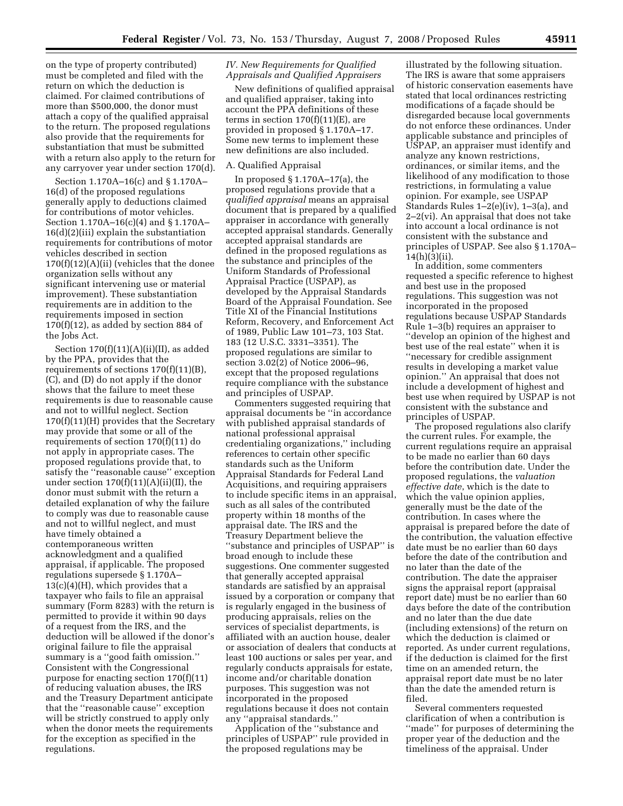on the type of property contributed) must be completed and filed with the return on which the deduction is claimed. For claimed contributions of more than \$500,000, the donor must attach a copy of the qualified appraisal to the return. The proposed regulations also provide that the requirements for substantiation that must be submitted with a return also apply to the return for any carryover year under section 170(d).

Section 1.170A–16(c) and § 1.170A– 16(d) of the proposed regulations generally apply to deductions claimed for contributions of motor vehicles. Section 1.170A–16(c)(4) and § 1.170A–  $16(d)(2)(iii)$  explain the substantiation requirements for contributions of motor vehicles described in section  $170(f)(12)(A)(ii)$  (vehicles that the donee organization sells without any significant intervening use or material improvement). These substantiation requirements are in addition to the requirements imposed in section  $170(f)(12)$ , as added by section 884 of the Jobs Act.

Section  $170(f)(11)(A)(ii)(II)$ , as added by the PPA, provides that the requirements of sections 170(f)(11)(B), (C), and (D) do not apply if the donor shows that the failure to meet these requirements is due to reasonable cause and not to willful neglect. Section 170(f)(11)(H) provides that the Secretary may provide that some or all of the requirements of section 170(f)(11) do not apply in appropriate cases. The proposed regulations provide that, to satisfy the ''reasonable cause'' exception under section  $170(f)(11)(A)(ii)(II)$ , the donor must submit with the return a detailed explanation of why the failure to comply was due to reasonable cause and not to willful neglect, and must have timely obtained a contemporaneous written acknowledgment and a qualified appraisal, if applicable. The proposed regulations supersede § 1.170A–  $13(c)(4)(H)$ , which provides that a taxpayer who fails to file an appraisal summary (Form 8283) with the return is permitted to provide it within 90 days of a request from the IRS, and the deduction will be allowed if the donor's original failure to file the appraisal summary is a ''good faith omission.'' Consistent with the Congressional purpose for enacting section 170(f)(11) of reducing valuation abuses, the IRS and the Treasury Department anticipate that the ''reasonable cause'' exception will be strictly construed to apply only when the donor meets the requirements for the exception as specified in the regulations.

## *IV. New Requirements for Qualified Appraisals and Qualified Appraisers*

New definitions of qualified appraisal and qualified appraiser, taking into account the PPA definitions of these terms in section  $170(f)(11)(E)$ , are provided in proposed § 1.170A–17. Some new terms to implement these new definitions are also included.

### A. Qualified Appraisal

In proposed § 1.170A–17(a), the proposed regulations provide that a *qualified appraisal* means an appraisal document that is prepared by a qualified appraiser in accordance with generally accepted appraisal standards. Generally accepted appraisal standards are defined in the proposed regulations as the substance and principles of the Uniform Standards of Professional Appraisal Practice (USPAP), as developed by the Appraisal Standards Board of the Appraisal Foundation. See Title XI of the Financial Institutions Reform, Recovery, and Enforcement Act of 1989, Public Law 101–73, 103 Stat. 183 (12 U.S.C. 3331–3351). The proposed regulations are similar to section 3.02(2) of Notice 2006–96, except that the proposed regulations require compliance with the substance and principles of USPAP.

Commenters suggested requiring that appraisal documents be ''in accordance with published appraisal standards of national professional appraisal credentialing organizations,'' including references to certain other specific standards such as the Uniform Appraisal Standards for Federal Land Acquisitions, and requiring appraisers to include specific items in an appraisal, such as all sales of the contributed property within 18 months of the appraisal date. The IRS and the Treasury Department believe the ''substance and principles of USPAP'' is broad enough to include these suggestions. One commenter suggested that generally accepted appraisal standards are satisfied by an appraisal issued by a corporation or company that is regularly engaged in the business of producing appraisals, relies on the services of specialist departments, is affiliated with an auction house, dealer or association of dealers that conducts at least 100 auctions or sales per year, and regularly conducts appraisals for estate, income and/or charitable donation purposes. This suggestion was not incorporated in the proposed regulations because it does not contain any ''appraisal standards.''

Application of the ''substance and principles of USPAP'' rule provided in the proposed regulations may be

illustrated by the following situation. The IRS is aware that some appraisers of historic conservation easements have stated that local ordinances restricting modifications of a façade should be disregarded because local governments do not enforce these ordinances. Under applicable substance and principles of USPAP, an appraiser must identify and analyze any known restrictions, ordinances, or similar items, and the likelihood of any modification to those restrictions, in formulating a value opinion. For example, see USPAP Standards Rules 1–2(e)(iv), 1–3(a), and 2–2(vi). An appraisal that does not take into account a local ordinance is not consistent with the substance and principles of USPAP. See also § 1.170A– 14(h)(3)(ii).

In addition, some commenters requested a specific reference to highest and best use in the proposed regulations. This suggestion was not incorporated in the proposed regulations because USPAP Standards Rule 1–3(b) requires an appraiser to ''develop an opinion of the highest and best use of the real estate'' when it is ''necessary for credible assignment results in developing a market value opinion.'' An appraisal that does not include a development of highest and best use when required by USPAP is not consistent with the substance and principles of USPAP.

The proposed regulations also clarify the current rules. For example, the current regulations require an appraisal to be made no earlier than 60 days before the contribution date. Under the proposed regulations, the *valuation effective date*, which is the date to which the value opinion applies, generally must be the date of the contribution. In cases where the appraisal is prepared before the date of the contribution, the valuation effective date must be no earlier than 60 days before the date of the contribution and no later than the date of the contribution. The date the appraiser signs the appraisal report (appraisal report date) must be no earlier than 60 days before the date of the contribution and no later than the due date (including extensions) of the return on which the deduction is claimed or reported. As under current regulations, if the deduction is claimed for the first time on an amended return, the appraisal report date must be no later than the date the amended return is filed.

Several commenters requested clarification of when a contribution is ''made'' for purposes of determining the proper year of the deduction and the timeliness of the appraisal. Under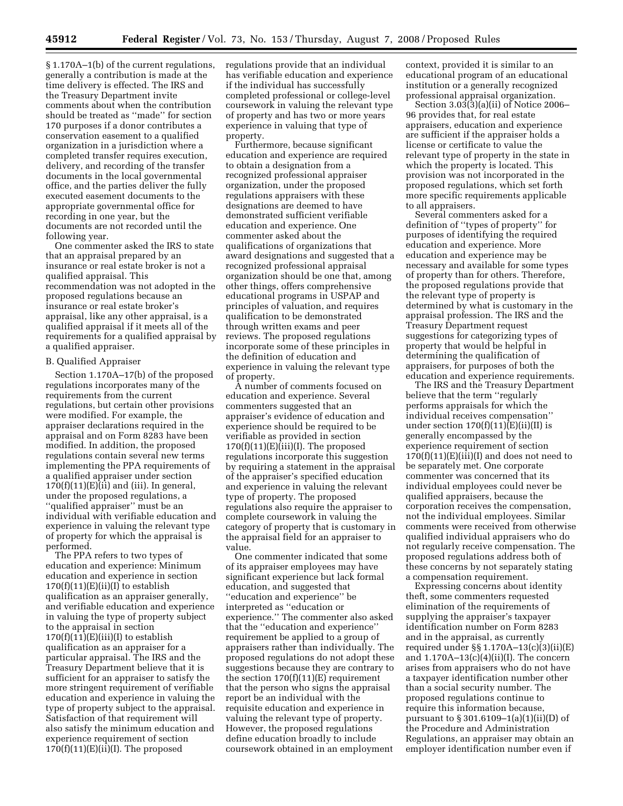§ 1.170A–1(b) of the current regulations, generally a contribution is made at the time delivery is effected. The IRS and the Treasury Department invite comments about when the contribution should be treated as ''made'' for section 170 purposes if a donor contributes a conservation easement to a qualified organization in a jurisdiction where a completed transfer requires execution, delivery, and recording of the transfer documents in the local governmental office, and the parties deliver the fully executed easement documents to the appropriate governmental office for recording in one year, but the documents are not recorded until the following year.

One commenter asked the IRS to state that an appraisal prepared by an insurance or real estate broker is not a qualified appraisal. This recommendation was not adopted in the proposed regulations because an insurance or real estate broker's appraisal, like any other appraisal, is a qualified appraisal if it meets all of the requirements for a qualified appraisal by a qualified appraiser.

### B. Qualified Appraiser

Section 1.170A–17(b) of the proposed regulations incorporates many of the requirements from the current regulations, but certain other provisions were modified. For example, the appraiser declarations required in the appraisal and on Form 8283 have been modified. In addition, the proposed regulations contain several new terms implementing the PPA requirements of a qualified appraiser under section  $170(f)(11)(E)(ii)$  and (iii). In general, under the proposed regulations, a ''qualified appraiser'' must be an individual with verifiable education and experience in valuing the relevant type of property for which the appraisal is performed.

The PPA refers to two types of education and experience: Minimum education and experience in section  $170(f)(11)(E)(ii)(I)$  to establish qualification as an appraiser generally, and verifiable education and experience in valuing the type of property subject to the appraisal in section  $170(f)(11)(E)(iii)(I)$  to establish qualification as an appraiser for a particular appraisal. The IRS and the Treasury Department believe that it is sufficient for an appraiser to satisfy the more stringent requirement of verifiable education and experience in valuing the type of property subject to the appraisal. Satisfaction of that requirement will also satisfy the minimum education and experience requirement of section  $170(f)(11)(E)(ii)(I)$ . The proposed

regulations provide that an individual has verifiable education and experience if the individual has successfully completed professional or college-level coursework in valuing the relevant type of property and has two or more years experience in valuing that type of property.

Furthermore, because significant education and experience are required to obtain a designation from a recognized professional appraiser organization, under the proposed regulations appraisers with these designations are deemed to have demonstrated sufficient verifiable education and experience. One commenter asked about the qualifications of organizations that award designations and suggested that a recognized professional appraisal organization should be one that, among other things, offers comprehensive educational programs in USPAP and principles of valuation, and requires qualification to be demonstrated through written exams and peer reviews. The proposed regulations incorporate some of these principles in the definition of education and experience in valuing the relevant type of property.

A number of comments focused on education and experience. Several commenters suggested that an appraiser's evidence of education and experience should be required to be verifiable as provided in section  $170(f)(11)(E)(iii)(I)$ . The proposed regulations incorporate this suggestion by requiring a statement in the appraisal of the appraiser's specified education and experience in valuing the relevant type of property. The proposed regulations also require the appraiser to complete coursework in valuing the category of property that is customary in the appraisal field for an appraiser to value.

One commenter indicated that some of its appraiser employees may have significant experience but lack formal education, and suggested that ''education and experience'' be interpreted as ''education or experience.'' The commenter also asked that the ''education and experience'' requirement be applied to a group of appraisers rather than individually. The proposed regulations do not adopt these suggestions because they are contrary to the section  $170(f)(11)(E)$  requirement that the person who signs the appraisal report be an individual with the requisite education and experience in valuing the relevant type of property. However, the proposed regulations define education broadly to include coursework obtained in an employment

context, provided it is similar to an educational program of an educational institution or a generally recognized professional appraisal organization.

Section 3.03(3)(a)(ii) of Notice 2006– 96 provides that, for real estate appraisers, education and experience are sufficient if the appraiser holds a license or certificate to value the relevant type of property in the state in which the property is located. This provision was not incorporated in the proposed regulations, which set forth more specific requirements applicable to all appraisers.

Several commenters asked for a definition of ''types of property'' for purposes of identifying the required education and experience. More education and experience may be necessary and available for some types of property than for others. Therefore, the proposed regulations provide that the relevant type of property is determined by what is customary in the appraisal profession. The IRS and the Treasury Department request suggestions for categorizing types of property that would be helpful in determining the qualification of appraisers, for purposes of both the education and experience requirements.

The IRS and the Treasury Department believe that the term ''regularly performs appraisals for which the individual receives compensation'' under section  $170(f)(11)(E)(ii)(II)$  is generally encompassed by the experience requirement of section  $170(f)(11)(E)(iii)(I)$  and does not need to be separately met. One corporate commenter was concerned that its individual employees could never be qualified appraisers, because the corporation receives the compensation, not the individual employees. Similar comments were received from otherwise qualified individual appraisers who do not regularly receive compensation. The proposed regulations address both of these concerns by not separately stating a compensation requirement.

Expressing concerns about identity theft, some commenters requested elimination of the requirements of supplying the appraiser's taxpayer identification number on Form 8283 and in the appraisal, as currently required under §§ 1.170A–13(c)(3)(ii)(E) and  $1.170A-13(c)(4)(ii)(I)$ . The concern arises from appraisers who do not have a taxpayer identification number other than a social security number. The proposed regulations continue to require this information because, pursuant to  $\S 301.6109 - 1$ (a)(1)(ii)(D) of the Procedure and Administration Regulations, an appraiser may obtain an employer identification number even if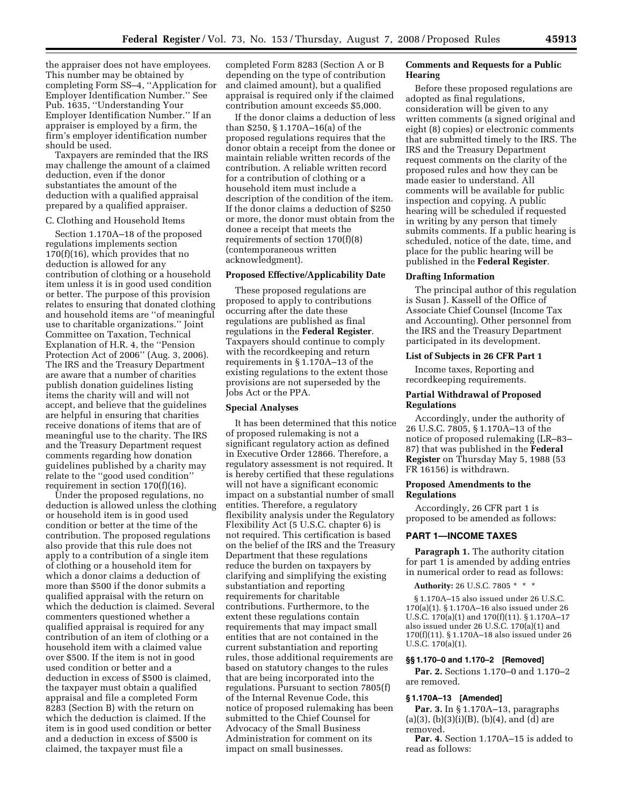the appraiser does not have employees. This number may be obtained by completing Form SS–4, ''Application for Employer Identification Number.'' See Pub. 1635, ''Understanding Your Employer Identification Number.'' If an appraiser is employed by a firm, the firm's employer identification number should be used.

Taxpayers are reminded that the IRS may challenge the amount of a claimed deduction, even if the donor substantiates the amount of the deduction with a qualified appraisal prepared by a qualified appraiser.

#### C. Clothing and Household Items

Section 1.170A–18 of the proposed regulations implements section 170(f)(16), which provides that no deduction is allowed for any contribution of clothing or a household item unless it is in good used condition or better. The purpose of this provision relates to ensuring that donated clothing and household items are ''of meaningful use to charitable organizations.'' Joint Committee on Taxation, Technical Explanation of H.R. 4, the ''Pension Protection Act of 2006'' (Aug. 3, 2006). The IRS and the Treasury Department are aware that a number of charities publish donation guidelines listing items the charity will and will not accept, and believe that the guidelines are helpful in ensuring that charities receive donations of items that are of meaningful use to the charity. The IRS and the Treasury Department request comments regarding how donation guidelines published by a charity may relate to the ''good used condition'' requirement in section 170(f)(16).

Under the proposed regulations, no deduction is allowed unless the clothing or household item is in good used condition or better at the time of the contribution. The proposed regulations also provide that this rule does not apply to a contribution of a single item of clothing or a household item for which a donor claims a deduction of more than \$500 if the donor submits a qualified appraisal with the return on which the deduction is claimed. Several commenters questioned whether a qualified appraisal is required for any contribution of an item of clothing or a household item with a claimed value over \$500. If the item is not in good used condition or better and a deduction in excess of \$500 is claimed, the taxpayer must obtain a qualified appraisal and file a completed Form 8283 (Section B) with the return on which the deduction is claimed. If the item is in good used condition or better and a deduction in excess of \$500 is claimed, the taxpayer must file a

completed Form 8283 (Section A or B depending on the type of contribution and claimed amount), but a qualified appraisal is required only if the claimed contribution amount exceeds \$5,000.

If the donor claims a deduction of less than \$250, § 1.170A–16(a) of the proposed regulations requires that the donor obtain a receipt from the donee or maintain reliable written records of the contribution. A reliable written record for a contribution of clothing or a household item must include a description of the condition of the item. If the donor claims a deduction of \$250 or more, the donor must obtain from the donee a receipt that meets the requirements of section 170(f)(8) (contemporaneous written acknowledgment).

### **Proposed Effective/Applicability Date**

These proposed regulations are proposed to apply to contributions occurring after the date these regulations are published as final regulations in the **Federal Register**. Taxpayers should continue to comply with the recordkeeping and return requirements in § 1.170A–13 of the existing regulations to the extent those provisions are not superseded by the Jobs Act or the PPA.

### **Special Analyses**

It has been determined that this notice of proposed rulemaking is not a significant regulatory action as defined in Executive Order 12866. Therefore, a regulatory assessment is not required. It is hereby certified that these regulations will not have a significant economic impact on a substantial number of small entities. Therefore, a regulatory flexibility analysis under the Regulatory Flexibility Act (5 U.S.C. chapter 6) is not required. This certification is based on the belief of the IRS and the Treasury Department that these regulations reduce the burden on taxpayers by clarifying and simplifying the existing substantiation and reporting requirements for charitable contributions. Furthermore, to the extent these regulations contain requirements that may impact small entities that are not contained in the current substantiation and reporting rules, those additional requirements are based on statutory changes to the rules that are being incorporated into the regulations. Pursuant to section 7805(f) of the Internal Revenue Code, this notice of proposed rulemaking has been submitted to the Chief Counsel for Advocacy of the Small Business Administration for comment on its impact on small businesses.

## **Comments and Requests for a Public Hearing**

Before these proposed regulations are adopted as final regulations, consideration will be given to any written comments (a signed original and eight (8) copies) or electronic comments that are submitted timely to the IRS. The IRS and the Treasury Department request comments on the clarity of the proposed rules and how they can be made easier to understand. All comments will be available for public inspection and copying. A public hearing will be scheduled if requested in writing by any person that timely submits comments. If a public hearing is scheduled, notice of the date, time, and place for the public hearing will be published in the **Federal Register**.

#### **Drafting Information**

The principal author of this regulation is Susan J. Kassell of the Office of Associate Chief Counsel (Income Tax and Accounting). Other personnel from the IRS and the Treasury Department participated in its development.

#### **List of Subjects in 26 CFR Part 1**

Income taxes, Reporting and recordkeeping requirements.

## **Partial Withdrawal of Proposed Regulations**

Accordingly, under the authority of 26 U.S.C. 7805, § 1.170A–13 of the notice of proposed rulemaking (LR–83– 87) that was published in the **Federal Register** on Thursday May 5, 1988 (53 FR 16156) is withdrawn.

#### **Proposed Amendments to the Regulations**

Accordingly, 26 CFR part 1 is proposed to be amended as follows:

#### **PART 1—INCOME TAXES**

**Paragraph 1.** The authority citation for part 1 is amended by adding entries in numerical order to read as follows:

**Authority:** 26 U.S.C. 7805 \* \* \*

§ 1.170A–15 also issued under 26 U.S.C. 170(a)(1). § 1.170A–16 also issued under 26 U.S.C. 170(a)(1) and 170(f)(11). § 1.170A–17 also issued under 26 U.S.C. 170(a)(1) and 170(f)(11). § 1.170A–18 also issued under 26 U.S.C. 170(a)(1).

#### **§§ 1.170–0 and 1.170–2 [Removed]**

**Par. 2.** Sections 1.170–0 and 1.170–2 are removed.

#### **§ 1.170A–13 [Amended]**

**Par. 3.** In § 1.170A–13, paragraphs  $(a)(3), (b)(3)(i)(B), (b)(4), and (d) are$ removed.

Par. 4. Section 1.170A-15 is added to read as follows: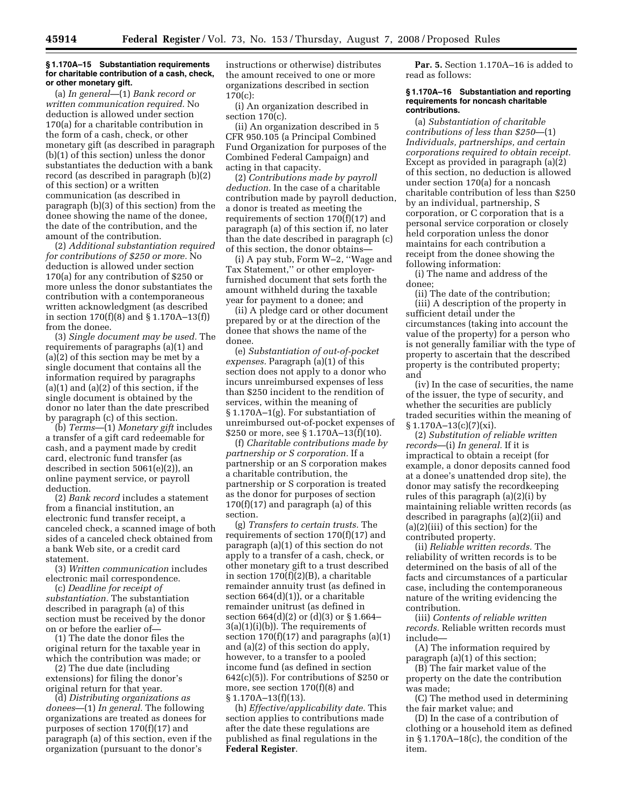#### **§ 1.170A–15 Substantiation requirements for charitable contribution of a cash, check, or other monetary gift.**

(a) *In general*—(1) *Bank record or written communication required.* No deduction is allowed under section 170(a) for a charitable contribution in the form of a cash, check, or other monetary gift (as described in paragraph (b)(1) of this section) unless the donor substantiates the deduction with a bank record (as described in paragraph (b)(2) of this section) or a written communication (as described in paragraph (b)(3) of this section) from the donee showing the name of the donee, the date of the contribution, and the amount of the contribution.

(2) *Additional substantiation required for contributions of \$250 or more.* No deduction is allowed under section 170(a) for any contribution of \$250 or more unless the donor substantiates the contribution with a contemporaneous written acknowledgment (as described in section 170(f)(8) and § 1.170A–13(f)) from the donee.

(3) *Single document may be used.* The requirements of paragraphs (a)(1) and (a)(2) of this section may be met by a single document that contains all the information required by paragraphs  $(a)(1)$  and  $(a)(2)$  of this section, if the single document is obtained by the donor no later than the date prescribed by paragraph (c) of this section.

(b) *Terms*—(1) *Monetary gift* includes a transfer of a gift card redeemable for cash, and a payment made by credit card, electronic fund transfer (as described in section 5061(e)(2)), an online payment service, or payroll deduction.

(2) *Bank record* includes a statement from a financial institution, an electronic fund transfer receipt, a canceled check, a scanned image of both sides of a canceled check obtained from a bank Web site, or a credit card statement.

(3) *Written communication* includes electronic mail correspondence.

(c) *Deadline for receipt of substantiation.* The substantiation described in paragraph (a) of this section must be received by the donor on or before the earlier of—

(1) The date the donor files the original return for the taxable year in which the contribution was made; or

(2) The due date (including extensions) for filing the donor's original return for that year.

(d) *Distributing organizations as donees*—(1) *In general.* The following organizations are treated as donees for purposes of section 170(f)(17) and paragraph (a) of this section, even if the organization (pursuant to the donor's

instructions or otherwise) distributes the amount received to one or more organizations described in section 170(c):

(i) An organization described in section 170(c).

(ii) An organization described in 5 CFR 950.105 (a Principal Combined Fund Organization for purposes of the Combined Federal Campaign) and acting in that capacity.

(2) *Contributions made by payroll deduction.* In the case of a charitable contribution made by payroll deduction, a donor is treated as meeting the requirements of section 170(f)(17) and paragraph (a) of this section if, no later than the date described in paragraph (c) of this section, the donor obtains—

(i) A pay stub, Form W–2, ''Wage and Tax Statement,'' or other employerfurnished document that sets forth the amount withheld during the taxable year for payment to a donee; and

(ii) A pledge card or other document prepared by or at the direction of the donee that shows the name of the donee.

(e) *Substantiation of out-of-pocket expenses.* Paragraph (a)(1) of this section does not apply to a donor who incurs unreimbursed expenses of less than \$250 incident to the rendition of services, within the meaning of § 1.170A–1(g). For substantiation of unreimbursed out-of-pocket expenses of \$250 or more, see § 1.170A–13(f)(10).

(f) *Charitable contributions made by partnership or S corporation.* If a partnership or an S corporation makes a charitable contribution, the partnership or S corporation is treated as the donor for purposes of section  $170(f)(17)$  and paragraph (a) of this section.

(g) *Transfers to certain trusts.* The requirements of section 170(f)(17) and paragraph (a)(1) of this section do not apply to a transfer of a cash, check, or other monetary gift to a trust described in section 170(f)(2)(B), a charitable remainder annuity trust (as defined in section  $664(d)(1)$ , or a charitable remainder unitrust (as defined in section 664(d)(2) or (d)(3) or § 1.664–  $3(a)(1)(i)(b)$ . The requirements of section  $170(f)(17)$  and paragraphs (a)(1) and (a)(2) of this section do apply, however, to a transfer to a pooled income fund (as defined in section 642(c)(5)). For contributions of \$250 or more, see section 170(f)(8) and § 1.170A–13(f)(13).

(h) *Effective/applicability date.* This section applies to contributions made after the date these regulations are published as final regulations in the **Federal Register**.

**Par. 5.** Section 1.170A–16 is added to read as follows:

#### **§ 1.170A–16 Substantiation and reporting requirements for noncash charitable contributions.**

(a) *Substantiation of charitable contributions of less than \$250*—(1) *Individuals, partnerships, and certain corporations required to obtain receipt.*  Except as provided in paragraph (a)(2) of this section, no deduction is allowed under section 170(a) for a noncash charitable contribution of less than \$250 by an individual, partnership, S corporation, or C corporation that is a personal service corporation or closely held corporation unless the donor maintains for each contribution a receipt from the donee showing the following information:

(i) The name and address of the donee;

(ii) The date of the contribution; (iii) A description of the property in sufficient detail under the circumstances (taking into account the value of the property) for a person who is not generally familiar with the type of property to ascertain that the described property is the contributed property; and

(iv) In the case of securities, the name of the issuer, the type of security, and whether the securities are publicly traded securities within the meaning of  $§ 1.170A-13(c)(7)(xi).$ 

(2) *Substitution of reliable written records*—(i) *In general.* If it is impractical to obtain a receipt (for example, a donor deposits canned food at a donee's unattended drop site), the donor may satisfy the recordkeeping rules of this paragraph (a)(2)(i) by maintaining reliable written records (as described in paragraphs (a)(2)(ii) and (a)(2)(iii) of this section) for the contributed property.

(ii) *Reliable written records.* The reliability of written records is to be determined on the basis of all of the facts and circumstances of a particular case, including the contemporaneous nature of the writing evidencing the contribution.

(iii) *Contents of reliable written records.* Reliable written records must include—

(A) The information required by paragraph (a)(1) of this section;

(B) The fair market value of the property on the date the contribution was made;

(C) The method used in determining the fair market value; and

(D) In the case of a contribution of clothing or a household item as defined in § 1.170A–18(c), the condition of the item.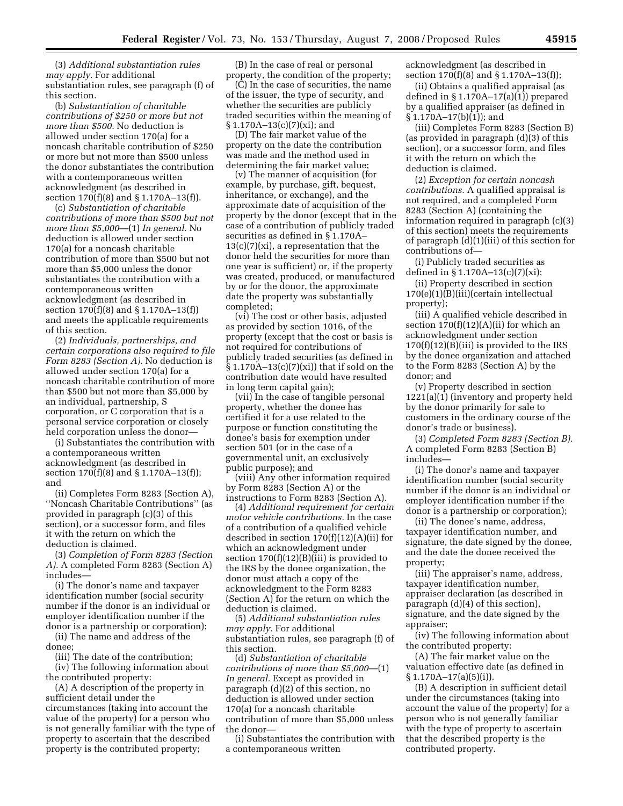(3) *Additional substantiation rules may apply.* For additional substantiation rules, see paragraph (f) of this section.

(b) *Substantiation of charitable contributions of \$250 or more but not more than \$500.* No deduction is allowed under section 170(a) for a noncash charitable contribution of \$250 or more but not more than \$500 unless the donor substantiates the contribution with a contemporaneous written acknowledgment (as described in section 170(f)(8) and § 1.170A–13(f)).

(c) *Substantiation of charitable contributions of more than \$500 but not more than \$5,000*—(1) *In general.* No deduction is allowed under section 170(a) for a noncash charitable contribution of more than \$500 but not more than \$5,000 unless the donor substantiates the contribution with a contemporaneous written acknowledgment (as described in section 170(f)(8) and § 1.170A–13(f)) and meets the applicable requirements of this section.

(2) *Individuals, partnerships, and certain corporations also required to file Form 8283 (Section A).* No deduction is allowed under section 170(a) for a noncash charitable contribution of more than \$500 but not more than \$5,000 by an individual, partnership, S corporation, or C corporation that is a personal service corporation or closely held corporation unless the donor—

(i) Substantiates the contribution with a contemporaneous written acknowledgment (as described in section 170(f)(8) and § 1.170A–13(f)); and

(ii) Completes Form 8283 (Section A), ''Noncash Charitable Contributions'' (as provided in paragraph (c)(3) of this section), or a successor form, and files it with the return on which the deduction is claimed.

(3) *Completion of Form 8283 (Section A).* A completed Form 8283 (Section A) includes—

(i) The donor's name and taxpayer identification number (social security number if the donor is an individual or employer identification number if the donor is a partnership or corporation);

(ii) The name and address of the donee;

(iii) The date of the contribution;

(iv) The following information about the contributed property:

(A) A description of the property in sufficient detail under the circumstances (taking into account the value of the property) for a person who is not generally familiar with the type of property to ascertain that the described property is the contributed property;

(B) In the case of real or personal property, the condition of the property;

(C) In the case of securities, the name of the issuer, the type of security, and whether the securities are publicly traded securities within the meaning of § 1.170A–13(c)(7)(xi); and

(D) The fair market value of the property on the date the contribution was made and the method used in determining the fair market value;

(v) The manner of acquisition (for example, by purchase, gift, bequest, inheritance, or exchange), and the approximate date of acquisition of the property by the donor (except that in the case of a contribution of publicly traded securities as defined in § 1.170A–  $13(c)(7)(xi)$ , a representation that the donor held the securities for more than one year is sufficient) or, if the property was created, produced, or manufactured by or for the donor, the approximate date the property was substantially completed;

(vi) The cost or other basis, adjusted as provided by section 1016, of the property (except that the cost or basis is not required for contributions of publicly traded securities (as defined in  $\S 1.170A-13(c)(7)(xi)$  that if sold on the contribution date would have resulted in long term capital gain);

(vii) In the case of tangible personal property, whether the donee has certified it for a use related to the purpose or function constituting the donee's basis for exemption under section 501 (or in the case of a governmental unit, an exclusively public purpose); and

(viii) Any other information required by Form 8283 (Section A) or the instructions to Form 8283 (Section A).

(4) *Additional requirement for certain motor vehicle contributions.* In the case of a contribution of a qualified vehicle described in section 170(f)(12)(A)(ii) for which an acknowledgment under section  $170(f)(12)(B)(iii)$  is provided to the IRS by the donee organization, the donor must attach a copy of the acknowledgment to the Form 8283 (Section A) for the return on which the deduction is claimed.

(5) *Additional substantiation rules may apply.* For additional substantiation rules, see paragraph (f) of this section.

(d) *Substantiation of charitable contributions of more than \$5,000*—(1) *In general.* Except as provided in paragraph (d)(2) of this section, no deduction is allowed under section 170(a) for a noncash charitable contribution of more than \$5,000 unless the donor—

(i) Substantiates the contribution with a contemporaneous written

acknowledgment (as described in section 170(f)(8) and § 1.170A–13(f));

(ii) Obtains a qualified appraisal (as defined in  $\S 1.170A-17(a)(1)$  prepared by a qualified appraiser (as defined in § 1.170A–17(b)(1)); and

(iii) Completes Form 8283 (Section B) (as provided in paragraph (d)(3) of this section), or a successor form, and files it with the return on which the deduction is claimed.

(2) *Exception for certain noncash contributions.* A qualified appraisal is not required, and a completed Form 8283 (Section A) (containing the information required in paragraph (c)(3) of this section) meets the requirements of paragraph (d)(1)(iii) of this section for contributions of—

(i) Publicly traded securities as defined in § 1.170A–13(c)(7)(xi);

(ii) Property described in section 170(e)(1)(B)(iii)(certain intellectual property);

(iii) A qualified vehicle described in section  $170(f)(12)(A)(ii)$  for which an acknowledgment under section  $170(f)(12)(B)(iii)$  is provided to the IRS by the donee organization and attached to the Form 8283 (Section A) by the donor; and

(v) Property described in section 1221(a)(1) (inventory and property held by the donor primarily for sale to customers in the ordinary course of the donor's trade or business).

(3) *Completed Form 8283 (Section B).*  A completed Form 8283 (Section B) includes—

(i) The donor's name and taxpayer identification number (social security number if the donor is an individual or employer identification number if the donor is a partnership or corporation);

(ii) The donee's name, address, taxpayer identification number, and signature, the date signed by the donee, and the date the donee received the property;

(iii) The appraiser's name, address, taxpayer identification number, appraiser declaration (as described in paragraph (d)(4) of this section), signature, and the date signed by the appraiser;

(iv) The following information about the contributed property:

(A) The fair market value on the valuation effective date (as defined in § 1.170A–17(a)(5)(i)).

(B) A description in sufficient detail under the circumstances (taking into account the value of the property) for a person who is not generally familiar with the type of property to ascertain that the described property is the contributed property.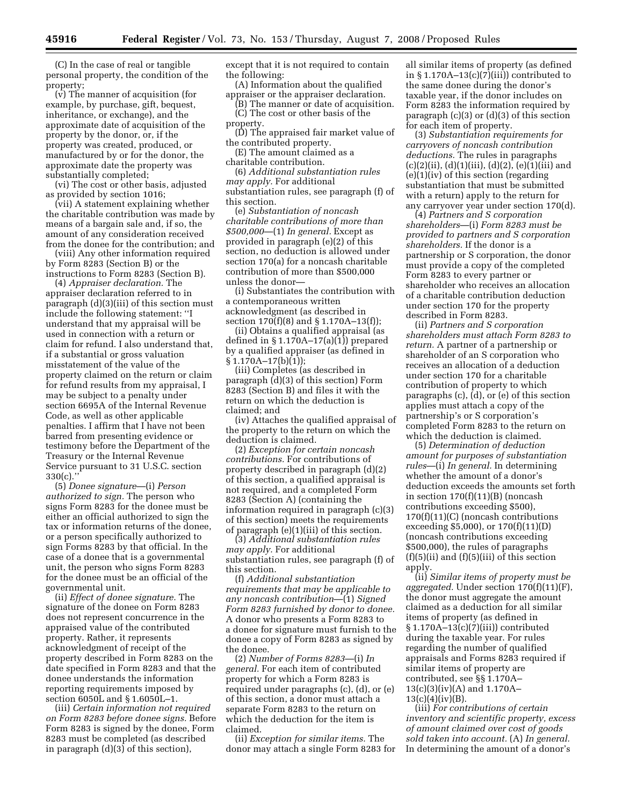(C) In the case of real or tangible personal property, the condition of the property;

(v) The manner of acquisition (for example, by purchase, gift, bequest, inheritance, or exchange), and the approximate date of acquisition of the property by the donor, or, if the property was created, produced, or manufactured by or for the donor, the approximate date the property was substantially completed;

(vi) The cost or other basis, adjusted as provided by section 1016;

(vii) A statement explaining whether the charitable contribution was made by means of a bargain sale and, if so, the amount of any consideration received from the donee for the contribution; and

(viii) Any other information required by Form 8283 (Section B) or the instructions to Form 8283 (Section B).

(4) *Appraiser declaration.* The appraiser declaration referred to in paragraph (d)(3)(iii) of this section must include the following statement: ''I understand that my appraisal will be used in connection with a return or claim for refund. I also understand that, if a substantial or gross valuation misstatement of the value of the property claimed on the return or claim for refund results from my appraisal, I may be subject to a penalty under section 6695A of the Internal Revenue Code, as well as other applicable penalties. I affirm that I have not been barred from presenting evidence or testimony before the Department of the Treasury or the Internal Revenue Service pursuant to 31 U.S.C. section 330(c).''

(5) *Donee signature*—(i) *Person authorized to sign.* The person who signs Form 8283 for the donee must be either an official authorized to sign the tax or information returns of the donee, or a person specifically authorized to sign Forms 8283 by that official. In the case of a donee that is a governmental unit, the person who signs Form 8283 for the donee must be an official of the governmental unit.

(ii) *Effect of donee signature.* The signature of the donee on Form 8283 does not represent concurrence in the appraised value of the contributed property. Rather, it represents acknowledgment of receipt of the property described in Form 8283 on the date specified in Form 8283 and that the donee understands the information reporting requirements imposed by section 6050L and § 1.6050L–1.

(iii) *Certain information not required on Form 8283 before donee signs.* Before Form 8283 is signed by the donee, Form 8283 must be completed (as described in paragraph (d)(3) of this section),

except that it is not required to contain the following:

(A) Information about the qualified appraiser or the appraiser declaration.

(B) The manner or date of acquisition. (C) The cost or other basis of the

property.

(D) The appraised fair market value of the contributed property.

(E) The amount claimed as a charitable contribution.

(6) *Additional substantiation rules may apply.* For additional

substantiation rules, see paragraph (f) of this section.

(e) *Substantiation of noncash charitable contributions of more than \$500,000*—(1) *In general.* Except as provided in paragraph (e)(2) of this section, no deduction is allowed under section 170(a) for a noncash charitable contribution of more than \$500,000 unless the donor—

(i) Substantiates the contribution with a contemporaneous written acknowledgment (as described in section 170(f)(8) and § 1.170A–13(f));

(ii) Obtains a qualified appraisal (as defined in  $\S 1.170A-17(a)(1)$  prepared by a qualified appraiser (as defined in  $§ 1.170A-17(b)(1));$ 

(iii) Completes (as described in paragraph (d)(3) of this section) Form 8283 (Section B) and files it with the return on which the deduction is claimed; and

(iv) Attaches the qualified appraisal of the property to the return on which the deduction is claimed.

(2) *Exception for certain noncash contributions.* For contributions of property described in paragraph (d)(2) of this section, a qualified appraisal is not required, and a completed Form 8283 (Section A) (containing the information required in paragraph (c)(3) of this section) meets the requirements of paragraph (e)(1)(iii) of this section.

(3) *Additional substantiation rules may apply.* For additional substantiation rules, see paragraph (f) of this section.

(f) *Additional substantiation requirements that may be applicable to any noncash contribution*—(1) *Signed Form 8283 furnished by donor to donee.*  A donor who presents a Form 8283 to a donee for signature must furnish to the donee a copy of Form 8283 as signed by the donee.

(2) *Number of Forms 8283*—(i) *In general.* For each item of contributed property for which a Form 8283 is required under paragraphs (c), (d), or (e) of this section, a donor must attach a separate Form 8283 to the return on which the deduction for the item is claimed.

(ii) *Exception for similar items.* The donor may attach a single Form 8283 for all similar items of property (as defined in  $\S 1.170A-13(c)(7)(iii)$  contributed to the same donee during the donor's taxable year, if the donor includes on Form 8283 the information required by paragraph (c)(3) or (d)(3) of this section for each item of property.

(3) *Substantiation requirements for carryovers of noncash contribution deductions.* The rules in paragraphs  $(c)(2)(ii), (d)(1)(iii), (d)(2), (e)(1)(iii)$  and (e)(1)(iv) of this section (regarding substantiation that must be submitted with a return) apply to the return for any carryover year under section 170(d).

(4) *Partners and S corporation shareholders*—(i) *Form 8283 must be provided to partners and S corporation shareholders.* If the donor is a partnership or S corporation, the donor must provide a copy of the completed Form 8283 to every partner or shareholder who receives an allocation of a charitable contribution deduction under section 170 for the property described in Form 8283.

(ii) *Partners and S corporation shareholders must attach Form 8283 to return.* A partner of a partnership or shareholder of an S corporation who receives an allocation of a deduction under section 170 for a charitable contribution of property to which paragraphs (c), (d), or (e) of this section applies must attach a copy of the partnership's or S corporation's completed Form 8283 to the return on which the deduction is claimed.

(5) *Determination of deduction amount for purposes of substantiation rules*—(i) *In general.* In determining whether the amount of a donor's deduction exceeds the amounts set forth in section  $170(f)(11)(B)$  (noncash contributions exceeding \$500), 170(f)(11)(C) (noncash contributions exceeding \$5,000), or 170(f)(11)(D) (noncash contributions exceeding \$500,000), the rules of paragraphs  $(f)(5)(ii)$  and  $(f)(5)(iii)$  of this section apply.

(ii) *Similar items of property must be aggregated.* Under section 170(f)(11)(F), the donor must aggregate the amount claimed as a deduction for all similar items of property (as defined in § 1.170A–13(c)(7)(iii)) contributed during the taxable year. For rules regarding the number of qualified appraisals and Forms 8283 required if similar items of property are contributed, see §§ 1.170A– 13(c)(3)(iv)(A) and 1.170A–  $13(c)(4)(iv)(B)$ .

(iii) *For contributions of certain inventory and scientific property, excess of amount claimed over cost of goods sold taken into account.* (A) *In general.*  In determining the amount of a donor's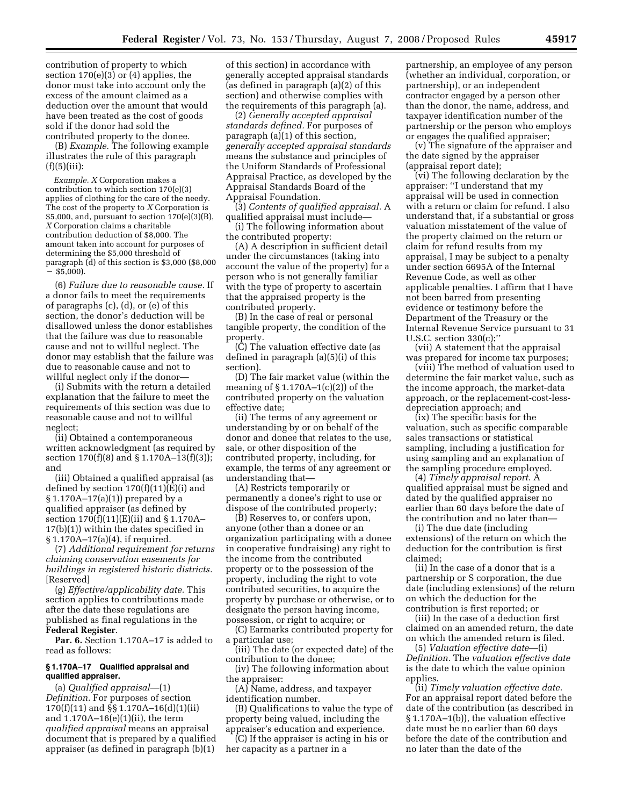contribution of property to which section 170(e)(3) or (4) applies, the donor must take into account only the excess of the amount claimed as a deduction over the amount that would have been treated as the cost of goods sold if the donor had sold the contributed property to the donee.

(B) *Example.* The following example illustrates the rule of this paragraph  $(f)(5)(iii)$ :

*Example. X* Corporation makes a contribution to which section 170(e)(3) applies of clothing for the care of the needy. The cost of the property to *X* Corporation is \$5,000, and, pursuant to section 170(e)(3)(B), *X* Corporation claims a charitable contribution deduction of \$8,000. The amount taken into account for purposes of determining the \$5,000 threshold of paragraph (d) of this section is \$3,000 (\$8,000  $-$  \$5,000).

(6) *Failure due to reasonable cause.* If a donor fails to meet the requirements of paragraphs (c), (d), or (e) of this section, the donor's deduction will be disallowed unless the donor establishes that the failure was due to reasonable cause and not to willful neglect. The donor may establish that the failure was due to reasonable cause and not to willful neglect only if the donor—

(i) Submits with the return a detailed explanation that the failure to meet the requirements of this section was due to reasonable cause and not to willful neglect;

(ii) Obtained a contemporaneous written acknowledgment (as required by section 170(f)(8) and § 1.170A–13(f)(3)); and

(iii) Obtained a qualified appraisal (as defined by section  $170(f)(11)(E)(i)$  and § 1.170A–17(a)(1)) prepared by a qualified appraiser (as defined by section 170(f)(11)(E)(ii) and § 1.170A– 17(b)(1)) within the dates specified in § 1.170A–17(a)(4), if required.

(7) *Additional requirement for returns claiming conservation easements for buildings in registered historic districts.*  [Reserved]

(g) *Effective/applicability date.* This section applies to contributions made after the date these regulations are published as final regulations in the **Federal Register**.

Par. 6. Section 1.170A–17 is added to read as follows:

### **§ 1.170A–17 Qualified appraisal and qualified appraiser.**

(a) *Qualified appraisal*—(1) *Definition.* For purposes of section 170(f)(11) and §§ 1.170A–16(d)(1)(ii) and 1.170A–16(e)(1)(ii), the term *qualified appraisal* means an appraisal document that is prepared by a qualified appraiser (as defined in paragraph (b)(1)

of this section) in accordance with generally accepted appraisal standards (as defined in paragraph (a)(2) of this section) and otherwise complies with the requirements of this paragraph (a).

(2) *Generally accepted appraisal standards defined.* For purposes of paragraph (a)(1) of this section, *generally accepted appraisal standards*  means the substance and principles of the Uniform Standards of Professional Appraisal Practice, as developed by the Appraisal Standards Board of the Appraisal Foundation.

(3) *Contents of qualified appraisal.* A qualified appraisal must include—

(i) The following information about the contributed property:

(A) A description in sufficient detail under the circumstances (taking into account the value of the property) for a person who is not generally familiar with the type of property to ascertain that the appraised property is the contributed property.

(B) In the case of real or personal tangible property, the condition of the property.

(C) The valuation effective date (as defined in paragraph (a)(5)(i) of this section).

(D) The fair market value (within the meaning of  $\S 1.170A-1(c)(2)$  of the contributed property on the valuation effective date;

(ii) The terms of any agreement or understanding by or on behalf of the donor and donee that relates to the use, sale, or other disposition of the contributed property, including, for example, the terms of any agreement or understanding that—

(A) Restricts temporarily or permanently a donee's right to use or dispose of the contributed property;

(B) Reserves to, or confers upon, anyone (other than a donee or an organization participating with a donee in cooperative fundraising) any right to the income from the contributed property or to the possession of the property, including the right to vote contributed securities, to acquire the property by purchase or otherwise, or to designate the person having income, possession, or right to acquire; or

(C) Earmarks contributed property for a particular use;

(iii) The date (or expected date) of the contribution to the donee;

(iv) The following information about the appraiser:

(A) Name, address, and taxpayer identification number.

(B) Qualifications to value the type of property being valued, including the appraiser's education and experience.

(C) If the appraiser is acting in his or her capacity as a partner in a

partnership, an employee of any person (whether an individual, corporation, or partnership), or an independent contractor engaged by a person other than the donor, the name, address, and taxpayer identification number of the partnership or the person who employs or engages the qualified appraiser;

(v) The signature of the appraiser and the date signed by the appraiser (appraisal report date);

(vi) The following declaration by the appraiser: ''I understand that my appraisal will be used in connection with a return or claim for refund. I also understand that, if a substantial or gross valuation misstatement of the value of the property claimed on the return or claim for refund results from my appraisal, I may be subject to a penalty under section 6695A of the Internal Revenue Code, as well as other applicable penalties. I affirm that I have not been barred from presenting evidence or testimony before the Department of the Treasury or the Internal Revenue Service pursuant to 31 U.S.C. section 330(c);''

(vii) A statement that the appraisal was prepared for income tax purposes;

(viii) The method of valuation used to determine the fair market value, such as the income approach, the market-data approach, or the replacement-cost-lessdepreciation approach; and

(ix) The specific basis for the valuation, such as specific comparable sales transactions or statistical sampling, including a justification for using sampling and an explanation of the sampling procedure employed.

(4) *Timely appraisal report.* A qualified appraisal must be signed and dated by the qualified appraiser no earlier than 60 days before the date of the contribution and no later than—

(i) The due date (including extensions) of the return on which the deduction for the contribution is first claimed;

(ii) In the case of a donor that is a partnership or S corporation, the due date (including extensions) of the return on which the deduction for the contribution is first reported; or

(iii) In the case of a deduction first claimed on an amended return, the date on which the amended return is filed.

(5) *Valuation effective date*—(i) *Definition.* The *valuation effective date*  is the date to which the value opinion applies.

(ii) *Timely valuation effective date.*  For an appraisal report dated before the date of the contribution (as described in § 1.170A–1(b)), the valuation effective date must be no earlier than 60 days before the date of the contribution and no later than the date of the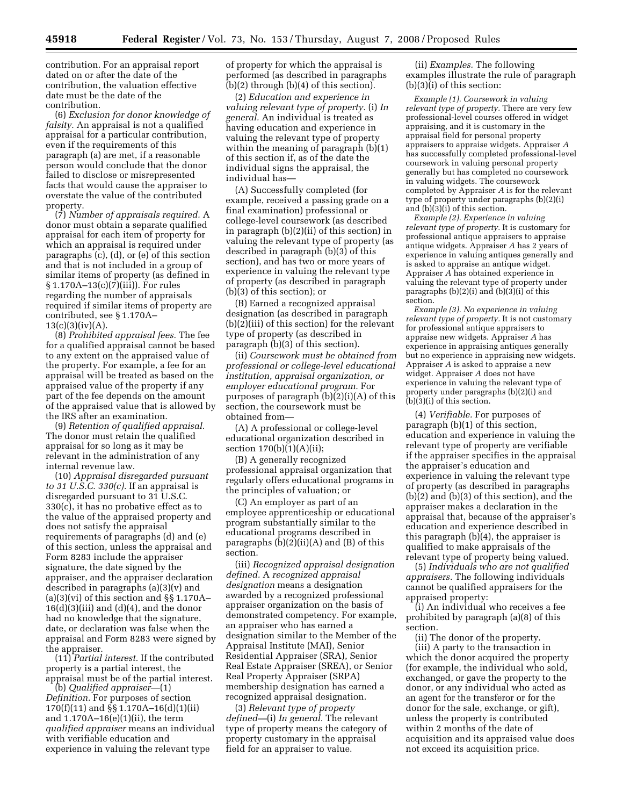contribution. For an appraisal report dated on or after the date of the contribution, the valuation effective date must be the date of the contribution.

(6) *Exclusion for donor knowledge of falsity.* An appraisal is not a qualified appraisal for a particular contribution, even if the requirements of this paragraph (a) are met, if a reasonable person would conclude that the donor failed to disclose or misrepresented facts that would cause the appraiser to overstate the value of the contributed property.

(7) *Number of appraisals required.* A donor must obtain a separate qualified appraisal for each item of property for which an appraisal is required under paragraphs (c), (d), or (e) of this section and that is not included in a group of similar items of property (as defined in § 1.170A–13(c)(7)(iii)). For rules regarding the number of appraisals required if similar items of property are contributed, see § 1.170A–  $13(c)(3)(iv)(A).$ 

(8) *Prohibited appraisal fees.* The fee for a qualified appraisal cannot be based to any extent on the appraised value of the property. For example, a fee for an appraisal will be treated as based on the appraised value of the property if any part of the fee depends on the amount of the appraised value that is allowed by the IRS after an examination.

(9) *Retention of qualified appraisal.*  The donor must retain the qualified appraisal for so long as it may be relevant in the administration of any internal revenue law.

(10) *Appraisal disregarded pursuant to 31 U.S.C. 330(c).* If an appraisal is disregarded pursuant to 31 U.S.C. 330(c), it has no probative effect as to the value of the appraised property and does not satisfy the appraisal requirements of paragraphs (d) and (e) of this section, unless the appraisal and Form 8283 include the appraiser signature, the date signed by the appraiser, and the appraiser declaration described in paragraphs (a)(3)(v) and  $(a)(3)(vi)$  of this section and  $\S$ § 1.170A–  $16(d)(3)(iii)$  and  $(d)(4)$ , and the donor had no knowledge that the signature, date, or declaration was false when the appraisal and Form 8283 were signed by the appraiser.

(11) *Partial interest.* If the contributed property is a partial interest, the appraisal must be of the partial interest.

(b) *Qualified appraiser*—(1) *Definition.* For purposes of section 170(f)(11) and §§ 1.170A–16(d)(1)(ii) and 1.170A–16(e)(1)(ii), the term *qualified appraiser* means an individual with verifiable education and experience in valuing the relevant type

of property for which the appraisal is performed (as described in paragraphs (b)(2) through (b)(4) of this section).

(2) *Education and experience in valuing relevant type of property.* (i) *In general.* An individual is treated as having education and experience in valuing the relevant type of property within the meaning of paragraph (b)(1) of this section if, as of the date the individual signs the appraisal, the individual has—

(A) Successfully completed (for example, received a passing grade on a final examination) professional or college-level coursework (as described in paragraph (b)(2)(ii) of this section) in valuing the relevant type of property (as described in paragraph (b)(3) of this section), and has two or more years of experience in valuing the relevant type of property (as described in paragraph (b)(3) of this section); or

(B) Earned a recognized appraisal designation (as described in paragraph (b)(2)(iii) of this section) for the relevant type of property (as described in paragraph (b)(3) of this section).

(ii) *Coursework must be obtained from professional or college-level educational institution, appraisal organization, or employer educational program.* For purposes of paragraph (b)(2)(i)(A) of this section, the coursework must be obtained from—

(A) A professional or college-level educational organization described in section 170(b)(1)(A)(ii);

(B) A generally recognized professional appraisal organization that regularly offers educational programs in the principles of valuation; or

(C) An employer as part of an employee apprenticeship or educational program substantially similar to the educational programs described in paragraphs (b)(2)(ii)(A) and (B) of this section.

(iii) *Recognized appraisal designation defined.* A *recognized appraisal designation* means a designation awarded by a recognized professional appraiser organization on the basis of demonstrated competency. For example, an appraiser who has earned a designation similar to the Member of the Appraisal Institute (MAI), Senior Residential Appraiser (SRA), Senior Real Estate Appraiser (SREA), or Senior Real Property Appraiser (SRPA) membership designation has earned a recognized appraisal designation.

(3) *Relevant type of property defined—*(i) *In general.* The relevant type of property means the category of property customary in the appraisal field for an appraiser to value.

(ii) *Examples.* The following examples illustrate the rule of paragraph (b)(3)(i) of this section:

*Example (1). Coursework in valuing relevant type of property.* There are very few professional-level courses offered in widget appraising, and it is customary in the appraisal field for personal property appraisers to appraise widgets. Appraiser *A*  has successfully completed professional-level coursework in valuing personal property generally but has completed no coursework in valuing widgets. The coursework completed by Appraiser *A* is for the relevant type of property under paragraphs (b)(2)(i) and (b)(3)(i) of this section.

*Example (2). Experience in valuing relevant type of property.* It is customary for professional antique appraisers to appraise antique widgets. Appraiser *A* has 2 years of experience in valuing antiques generally and is asked to appraise an antique widget. Appraiser *A* has obtained experience in valuing the relevant type of property under paragraphs  $(b)(2)(i)$  and  $(b)(3)(i)$  of this section.

*Example (3). No experience in valuing relevant type of property.* It is not customary for professional antique appraisers to appraise new widgets. Appraiser *A* has experience in appraising antiques generally but no experience in appraising new widgets. Appraiser *A* is asked to appraise a new widget. Appraiser *A* does not have experience in valuing the relevant type of property under paragraphs (b)(2)(i) and  $(b)(3)(i)$  of this section.

(4) *Verifiable.* For purposes of paragraph (b)(1) of this section, education and experience in valuing the relevant type of property are verifiable if the appraiser specifies in the appraisal the appraiser's education and experience in valuing the relevant type of property (as described in paragraphs (b)(2) and (b)(3) of this section), and the appraiser makes a declaration in the appraisal that, because of the appraiser's education and experience described in this paragraph (b)(4), the appraiser is qualified to make appraisals of the relevant type of property being valued.

(5) *Individuals who are not qualified appraisers.* The following individuals cannot be qualified appraisers for the appraised property:

(i) An individual who receives a fee prohibited by paragraph (a)(8) of this section.

(ii) The donor of the property.

(iii) A party to the transaction in which the donor acquired the property (for example, the individual who sold, exchanged, or gave the property to the donor, or any individual who acted as an agent for the transferor or for the donor for the sale, exchange, or gift), unless the property is contributed within 2 months of the date of acquisition and its appraised value does not exceed its acquisition price.